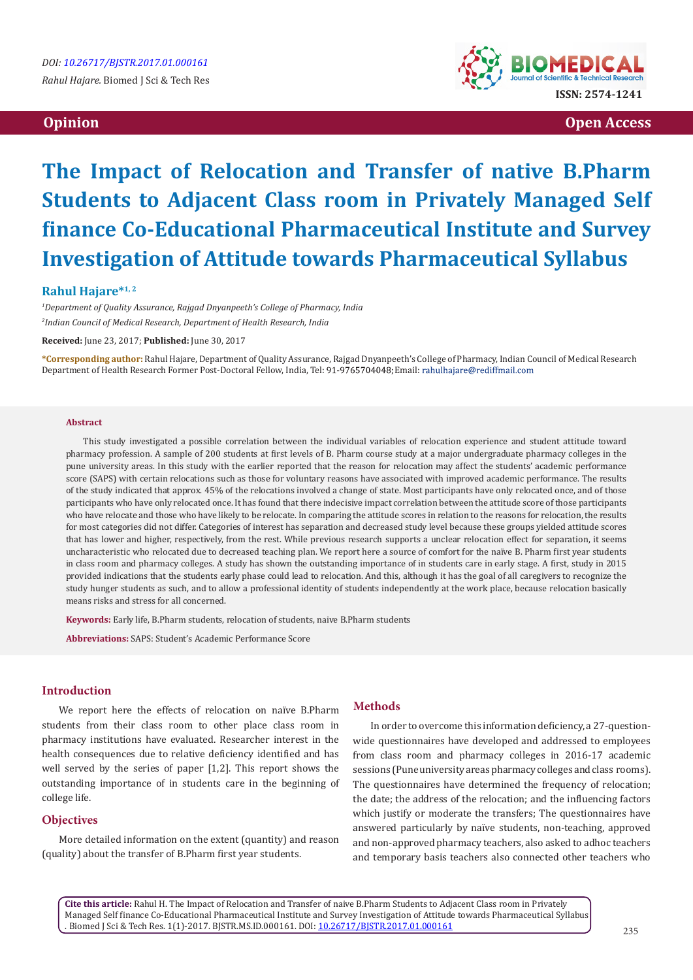

 **Opinion Open Access**

# **The Impact of Relocation and Transfer of native B.Pharm Students to Adjacent Class room in Privately Managed Self finance Co-Educational Pharmaceutical Institute and Survey Investigation of Attitude towards Pharmaceutical Syllabus**

### **Rahul Hajare\*1, 2**

*1 Department of Quality Assurance, Rajgad Dnyanpeeth's College of Pharmacy, India 2 Indian Council of Medical Research, Department of Health Research, India* 

**Received:** June 23, 2017; **Published:** June 30, 2017

**\*Corresponding author:** Rahul Hajare, Department of Quality Assurance, Rajgad Dnyanpeeth's College of Pharmacy, Indian Council of Medical Research Department of Health Research Former Post-Doctoral Fellow, India, Tel: 91-9765704048; Email: rahulhajare@rediffmail.com

#### **Abstract**

This study investigated a possible correlation between the individual variables of relocation experience and student attitude toward pharmacy profession. A sample of 200 students at first levels of B. Pharm course study at a major undergraduate pharmacy colleges in the pune university areas. In this study with the earlier reported that the reason for relocation may affect the students' academic performance score (SAPS) with certain relocations such as those for voluntary reasons have associated with improved academic performance. The results of the study indicated that approx. 45% of the relocations involved a change of state. Most participants have only relocated once, and of those participants who have only relocated once. It has found that there indecisive impact correlation between the attitude score of those participants who have relocate and those who have likely to be relocate. In comparing the attitude scores in relation to the reasons for relocation, the results for most categories did not differ. Categories of interest has separation and decreased study level because these groups yielded attitude scores that has lower and higher, respectively, from the rest. While previous research supports a unclear relocation effect for separation, it seems uncharacteristic who relocated due to decreased teaching plan. We report here a source of comfort for the naïve B. Pharm first year students in class room and pharmacy colleges. A study has shown the outstanding importance of in students care in early stage. A first, study in 2015 provided indications that the students early phase could lead to relocation. And this, although it has the goal of all caregivers to recognize the study hunger students as such, and to allow a professional identity of students independently at the work place, because relocation basically means risks and stress for all concerned.

**Keywords:** Early life, B.Pharm students, relocation of students, naive B.Pharm students

**Abbreviations:** SAPS: Student's Academic Performance Score

#### **Introduction**

We report here the effects of relocation on naïve B.Pharm students from their class room to other place class room in pharmacy institutions have evaluated. Researcher interest in the health consequences due to relative deficiency identified and has well served by the series of paper [1,2]. This report shows the outstanding importance of in students care in the beginning of college life.

# **Objectives**

More detailed information on the extent (quantity) and reason (quality) about the transfer of B.Pharm first year students.

## **Methods**

In order to overcome this information deficiency, a 27-questionwide questionnaires have developed and addressed to employees from class room and pharmacy colleges in 2016-17 academic sessions (Pune university areas pharmacy colleges and class rooms). The questionnaires have determined the frequency of relocation; the date; the address of the relocation; and the influencing factors which justify or moderate the transfers: The questionnaires have answered particularly by naïve students, non-teaching, approved and non-approved pharmacy teachers, also asked to adhoc teachers and temporary basis teachers also connected other teachers who

**Cite this article:** Rahul H. The Impact of Relocation and Transfer of naive B.Pharm Students to Adjacent Class room in Privately Managed Self finance Co-Educational Pharmaceutical Institute and Survey Investigation of Attitude towards Pharmaceutical Syllabus . Biomed J Sci & Tech Res. 1(1)-2017. BJSTR.MS.ID.000161. DOI: [10.26717/BJSTR.2017.01.000161](http://dx.doi.org/10.26717/BJSTR.2017.01.000161
)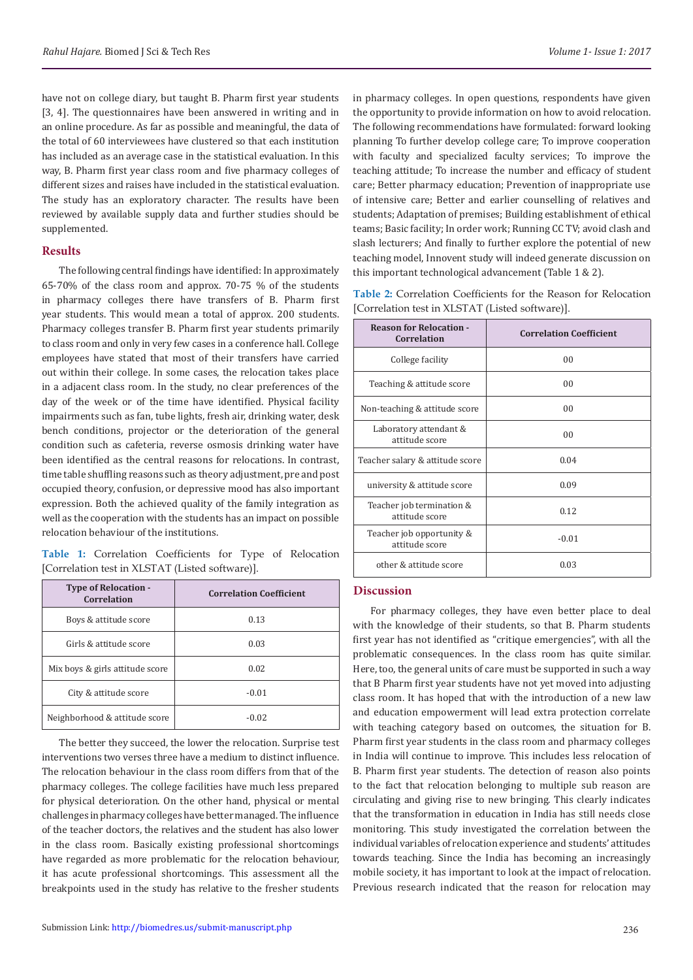have not on college diary, but taught B. Pharm first year students [3, 4]. The questionnaires have been answered in writing and in an online procedure. As far as possible and meaningful, the data of the total of 60 interviewees have clustered so that each institution has included as an average case in the statistical evaluation. In this way, B. Pharm first year class room and five pharmacy colleges of different sizes and raises have included in the statistical evaluation. The study has an exploratory character. The results have been reviewed by available supply data and further studies should be supplemented.

#### **Results**

The following central findings have identified: In approximately 65-70% of the class room and approx. 70-75 % of the students in pharmacy colleges there have transfers of B. Pharm first year students. This would mean a total of approx. 200 students. Pharmacy colleges transfer B. Pharm first year students primarily to class room and only in very few cases in a conference hall. College employees have stated that most of their transfers have carried out within their college. In some cases, the relocation takes place in a adjacent class room. In the study, no clear preferences of the day of the week or of the time have identified. Physical facility impairments such as fan, tube lights, fresh air, drinking water, desk bench conditions, projector or the deterioration of the general condition such as cafeteria, reverse osmosis drinking water have been identified as the central reasons for relocations. In contrast, time table shuffling reasons such as theory adjustment, pre and post occupied theory, confusion, or depressive mood has also important expression. Both the achieved quality of the family integration as well as the cooperation with the students has an impact on possible relocation behaviour of the institutions.

**Table 1:** Correlation Coefficients for Type of Relocation [Correlation test in XLSTAT (Listed software)].

| <b>Type of Relocation -</b><br>Correlation | <b>Correlation Coefficient</b> |
|--------------------------------------------|--------------------------------|
| Boys & attitude score                      | 0.13                           |
| Girls & attitude score                     | 0.03                           |
| Mix boys & girls attitude score            | 0.02                           |
| City & attitude score                      | $-0.01$                        |
| Neighborhood & attitude score              | $-0.02$                        |

The better they succeed, the lower the relocation. Surprise test interventions two verses three have a medium to distinct influence. The relocation behaviour in the class room differs from that of the pharmacy colleges. The college facilities have much less prepared for physical deterioration. On the other hand, physical or mental challenges in pharmacy colleges have better managed. The influence of the teacher doctors, the relatives and the student has also lower in the class room. Basically existing professional shortcomings have regarded as more problematic for the relocation behaviour, it has acute professional shortcomings. This assessment all the breakpoints used in the study has relative to the fresher students

in pharmacy colleges. In open questions, respondents have given the opportunity to provide information on how to avoid relocation. The following recommendations have formulated: forward looking planning To further develop college care; To improve cooperation with faculty and specialized faculty services; To improve the teaching attitude; To increase the number and efficacy of student care; Better pharmacy education; Prevention of inappropriate use of intensive care; Better and earlier counselling of relatives and students; Adaptation of premises; Building establishment of ethical teams; Basic facility; In order work; Running CC TV; avoid clash and slash lecturers; And finally to further explore the potential of new teaching model, Innovent study will indeed generate discussion on this important technological advancement (Table 1 & 2).

|  | Table 2: Correlation Coefficients for the Reason for Relocation |  |  |  |
|--|-----------------------------------------------------------------|--|--|--|
|  | [Correlation test in XLSTAT (Listed software)].                 |  |  |  |

| <b>Reason for Relocation -</b><br><b>Correlation</b> | <b>Correlation Coefficient</b> |
|------------------------------------------------------|--------------------------------|
| College facility                                     | 00                             |
| Teaching & attitude score                            | 00                             |
| Non-teaching & attitude score                        | 00                             |
| Laboratory attendant &<br>attitude score             | 0 <sub>0</sub>                 |
| Teacher salary & attitude score                      | 0.04                           |
| university & attitude score                          | 0.09                           |
| Teacher job termination &<br>attitude score          | 0.12                           |
| Teacher job opportunity &<br>attitude score          | $-0.01$                        |
| other & attitude score                               | 0.03                           |

# **Discussion**

For pharmacy colleges, they have even better place to deal with the knowledge of their students, so that B. Pharm students first year has not identified as "critique emergencies", with all the problematic consequences. In the class room has quite similar. Here, too, the general units of care must be supported in such a way that B Pharm first year students have not yet moved into adjusting class room. It has hoped that with the introduction of a new law and education empowerment will lead extra protection correlate with teaching category based on outcomes, the situation for B. Pharm first year students in the class room and pharmacy colleges in India will continue to improve. This includes less relocation of B. Pharm first year students. The detection of reason also points to the fact that relocation belonging to multiple sub reason are circulating and giving rise to new bringing. This clearly indicates that the transformation in education in India has still needs close monitoring. This study investigated the correlation between the individual variables of relocation experience and students' attitudes towards teaching. Since the India has becoming an increasingly mobile society, it has important to look at the impact of relocation. Previous research indicated that the reason for relocation may